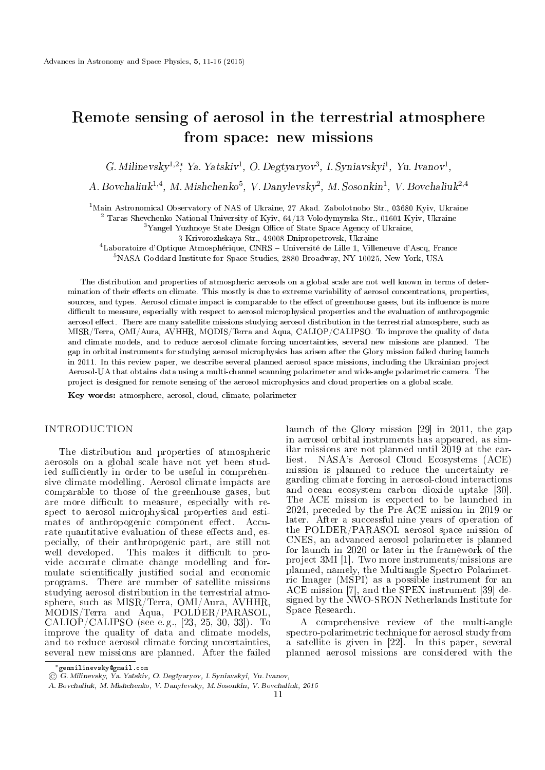# Remote sensing of aerosol in the terrestrial atmosphere from space: new missions

G. Milinevsky<sup>1,2</sup><sup>\*</sup>, Ya. Yatskiv<sup>1</sup>, O. Degtyaryov<sup>3</sup>, I. Syniavskyi<sup>1</sup>, Yu. Ivanov<sup>1</sup>,

A. Bovchaliuk<sup>1,4</sup>, M. Mishchenko<sup>5</sup>, V. Danylevsky<sup>2</sup>, M. Sosonkin<sup>1</sup>, V. Bovchaliuk<sup>2,4</sup>

<sup>1</sup>Main Astronomical Observatory of NAS of Ukraine, 27 Akad. Zabolotnoho Str., 03680 Kyiv, Ukraine

<sup>2</sup> Taras Sheychenko National University of Kyiv,  $64/13$  Volodymyrska Str., 01601 Kyiv, Ukraine

<sup>3</sup>Yangel Yuzhnoye State Design Office of State Space Agency of Ukraine,

3 Krivorozhskaya Str., 49008 Dnipropetrovsk, Ukraine

<sup>4</sup>Laboratoire d'Optique Atmosphérique, CNRS - Université de Lille 1, Villeneuve d'Ascq, France

<sup>5</sup>NASA Goddard Institute for Space Studies, 2880 Broadway, NY 10025, New York, USA

The distribution and properties of atmospheric aerosols on a global scale are not well known in terms of determination of their effects on climate. This mostly is due to extreme variability of aerosol concentrations, properties, sources, and types. Aerosol climate impact is comparable to the effect of greenhouse gases, but its influence is more difficult to measure, especially with respect to aerosol microphysical properties and the evaluation of anthropogenic aerosol effect. There are many satellite missions studying aerosol distribution in the terrestrial atmosphere, such as MISR/Terra, OMI/Aura, AVHHR, MODIS/Terra and Aqua, CALIOP/CALIPSO. To improve the quality of data and climate models, and to reduce aerosol climate forcing uncertainties, several new missions are planned. The gap in orbital instruments for studying aerosol microphysics has arisen after the Glory mission failed during launch in 2011. In this review paper, we describe several planned aerosol space missions, including the Ukrainian project Aerosol-UA that obtains data using a multi-channel scanning polarimeter and wide-angle polarimetric camera. The project is designed for remote sensing of the aerosol microphysics and cloud properties on a global scale.

Key words: atmosphere, aerosol, cloud, climate, polarimeter

# **INTRODUCTION**

The distribution and properties of atmospheric aerosols on a global scale have not yet been studied sufficiently in order to be useful in comprehensive climate modelling. Aerosol climate impacts are comparable to those of the greenhouse gases, but are more difficult to measure, especially with respect to aerosol microphysical properties and estimates of anthropogenic component effect. Accurate quantitative evaluation of these effects and, especially, of their anthropogenic part, are still not well developed. This makes it difficult to provide accurate climate change modelling and formulate scientifically justified social and economic programs. There are number of satellite missions studying aerosol distribution in the terrestrial atmosphere, such as MISR/Terra, OMI/Aura, AVHHR, MODIS/Terra and Aqua, POLDER/PARASOL, CALIOP/CALIPSO (see e. g., [23, 25, 30, 33]). To improve the quality of data and climate models, and to reduce aerosol climate forcing uncertainties, several new missions are planned. After the failed launch of the Glory mission [29] in 2011, the gap in aerosol orbital instruments has appeared, as similar missions are not planned until 2019 at the earliest. NASA's Aerosol Cloud Ecosystems (ACE) mission is planned to reduce the uncertainty regarding climate forcing in aerosol-cloud interactions and ocean ecosystem carbon dioxide uptake [30]. The ACE mission is expected to be launched in 2024, preceded by the Pre-ACE mission in 2019 or later. After a successful nine years of operation of the POLDER/PARASOL aerosol space mission of CNES, an advanced aerosol polarimeter is planned for launch in 2020 or later in the framework of the project 3MI [1]. Two more instruments/missions are planned, namely, the Multiangle Spectro Polarimetric Imager (MSPI) as a possible instrument for an ACE mission [7], and the SPEX instrument [39] designed by the NWO-SRON Netherlands Institute for Space Research.

A comprehensive review of the multi-angle spectro-polarimetric technique for aerosol study from a satellite is given in [22]. In this paper, several planned aerosol missions are considered with the

*<sup>∗</sup>*genmilinevsky@gmail.com

<sup>©</sup> G. Milinevsky, Ya. Yatskiv, O. Degtyaryov, I. Syniavskyi, Yu. Ivanov,

A. Bovchaliuk, M. Mishchenko, V. Danylevsky, M. Sosonkin, V. Bovchaliuk, 2015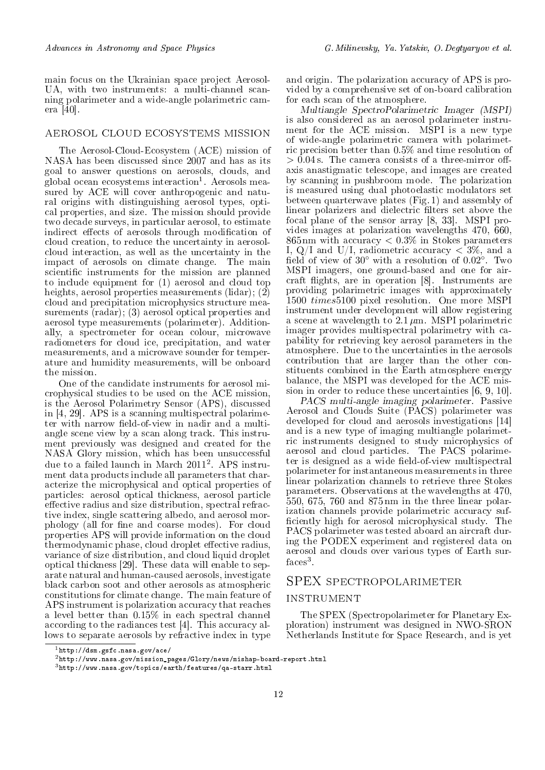main focus on the Ukrainian space project Aerosol-UA, with two instruments: a multi-channel scanning polarimeter and a wide-angle polarimetric camera [40].

#### aerosol cloud ecosystems mission

The Aerosol-Cloud-Ecosystem (ACE) mission of NASA has been discussed since 2007 and has as its goal to answer questions on aerosols, clouds, and global ocean ecosystems interaction<sup>1</sup>. Aerosols measured by ACE will cover anthropogenic and natural origins with distinguishing aerosol types, optical properties, and size. The mission should provide two decade surveys, in particular aerosol, to estimate indirect effects of aerosols through modification of cloud creation, to reduce the uncertainty in aerosolcloud interaction, as well as the uncertainty in the impact of aerosols on climate change. The main scientific instruments for the mission are planned to include equipment for (1) aerosol and cloud top heights, aerosol properties measurements (lidar); (2) cloud and precipitation microphysics structure measurements (radar); (3) aerosol optical properties and aerosol type measurements (polarimeter). Additionally, a spectrometer for ocean colour, microwave radiometers for cloud ice, precipitation, and water measurements, and a microwave sounder for temperature and humidity measurements, will be onboard the mission.

One of the candidate instruments for aerosol microphysical studies to be used on the ACE mission, is the Aerosol Polarimetry Sensor (APS), discussed in [4, 29]. APS is a scanning multispectral polarimeter with narrow field-of-view in nadir and a multiangle scene view by a scan along track. This instrument previously was designed and created for the NASA Glory mission, which has been unsuccessful due to a failed launch in March 2011<sup>2</sup> . APS instrument data products include all parameters that characterize the microphysical and optical properties of particles: aerosol optical thickness, aerosol particle effective radius and size distribution, spectral refractive index, single scattering albedo, and aerosol morphology (all for fine and coarse modes). For cloud properties APS will provide information on the cloud thermodynamic phase, cloud droplet effective radius, variance of size distribution, and cloud liquid droplet optical thickness [29]. These data will enable to separate natural and human-caused aerosols, investigate black carbon soot and other aerosols as atmospheric constitutions for climate change. The main feature of APS instrument is polarization accuracy that reaches a level better than 0.15% in each spectral channel according to the radiances test [4]. This accuracy allows to separate aerosols by refractive index in type

and origin. The polarization accuracy of APS is provided by a comprehensive set of on-board calibration for each scan of the atmosphere.

Multiangle SpectroPolarimetric Imager (MSPI) is also considered as an aerosol polarimeter instrument for the ACE mission. MSPI is a new type of wide-angle polarimetric camera with polarimetric precision better than 0.5% and time resolution of  $> 0.04$  s. The camera consists of a three-mirror offaxis anastigmatic telescope, and images are created by scanning in pushbroom mode. The polarization is measured using dual photoelastic modulators set between quarterwave plates (Fig. 1) and assembly of linear polarizers and dielectric filters set above the focal plane of the sensor array [8, 33]. MSPI provides images at polarization wavelengths 470, 660, 865 nm with accuracy *<* 0*.*3% in Stokes parameters I, Q/I and U/I, radiometric accuracy *<* 3%, and a eld of view of 30*◦* with a resolution of 0*.*02*◦* . Two MSPI imagers, one ground-based and one for aircraft flights, are in operation [8]. Instruments are providing polarimetric images with approximately 1500 *times*5100 pixel resolution. One more MSPI instrument under development will allow registering a scene at wavelength to 2.1 *µ*m. MSPI polarimetric imager provides multispectral polarimetry with capability for retrieving key aerosol parameters in the atmosphere. Due to the uncertainties in the aerosols contribution that are larger than the other constituents combined in the Earth atmosphere energy balance, the MSPI was developed for the ACE mission in order to reduce these uncertainties [6, 9, 10].

PACS multi-angle imaging polarimeter. Passive Aerosol and Clouds Suite (PACS) polarimeter was developed for cloud and aerosols investigations [14] and is a new type of imaging multiangle polarimetric instruments designed to study microphysics of aerosol and cloud particles. The PACS polarimeter is designed as a wide field-of-view multispectral polarimeter for instantaneous measurements in three linear polarization channels to retrieve three Stokes parameters. Observations at the wavelengths at 470, 550, 675, 760 and 875 nm in the three linear polarization channels provide polarimetric accuracy suf ficiently high for aerosol microphysical study. The PACS polarimeter was tested aboard an aircraft during the PODEX experiment and registered data on aerosol and clouds over various types of Earth sur $faces<sup>3</sup>$ .

# SPEX spectropolarimeter

# **INSTRUMENT**

The SPEX (Spectropolarimeter for Planetary Exploration) instrument was designed in NWO-SRON Netherlands Institute for Space Research, and is yet

 $1$ http://dsm.gsfc.nasa.gov/ace/

 $^2$ http://www.nasa.gov/mission\_pages/Glory/news/mishap-board-report.html

<sup>3</sup>http://www.nasa.gov/topics/earth/features/qa-starr.html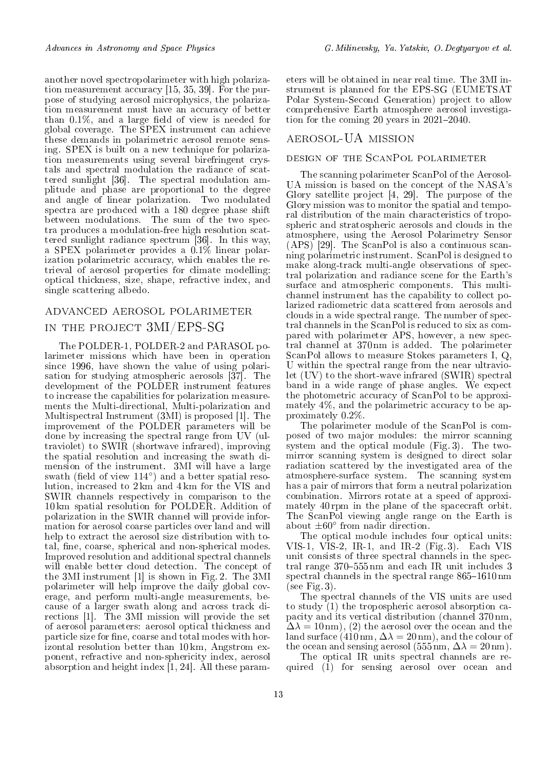another novel spectropolarimeter with high polarization measurement accuracy [15, 35, 39]. For the purpose of studying aerosol microphysics, the polarization measurement must have an accuracy of better than  $0.1\%$ , and a large field of view is needed for global coverage. The SPEX instrument can achieve these demands in polarimetric aerosol remote sensing. SPEX is built on a new technique for polarization measurements using several birefringent crystals and spectral modulation the radiance of scattered sunlight [36]. The spectral modulation amplitude and phase are proportional to the degree and angle of linear polarization. Two modulated spectra are produced with a 180 degree phase shift between modulations. The sum of the two spectra produces a modulation-free high resolution scattered sunlight radiance spectrum [36]. In this way, a SPEX polarimeter provides a 0.1% linear polarization polarimetric accuracy, which enables the retrieval of aerosol properties for climate modelling: optical thickness, size, shape, refractive index, and single scattering albedo.

# advanced aerosol polarimeter in the project 3MI/EPS-SG

The POLDER-1, POLDER-2 and PARASOL polarimeter missions which have been in operation since 1996, have shown the value of using polarisation for studying atmospheric aerosols [37]. The development of the POLDER instrument features to increase the capabilities for polarization measurements the Multi-directional, Multi-polarization and Multispectral Instrument (3MI) is proposed [1]. The improvement of the POLDER parameters will be done by increasing the spectral range from UV (ultraviolet) to SWIR (shortwave infrared), improving the spatial resolution and increasing the swath dimension of the instrument. 3MI will have a large swath (field of view 114<sup>°</sup>) and a better spatial resolution, increased to 2 km and 4 km for the VIS and SWIR channels respectively in comparison to the 10 km spatial resolution for POLDER. Addition of polarization in the SWIR channel will provide information for aerosol coarse particles over land and will help to extract the aerosol size distribution with total, fine, coarse, spherical and non-spherical modes. Improved resolution and additional spectral channels will enable better cloud detection. The concept of the 3MI instrument [1] is shown in Fig. 2. The 3MI polarimeter will help improve the daily global coverage, and perform multi-angle measurements, because of a larger swath along and across track directions [1]. The 3MI mission will provide the set of aerosol parameters: aerosol optical thickness and particle size for fine, coarse and total modes with horizontal resolution better than 10 km, Angstrom exponent, refractive and non-sphericity index, aerosol absorption and height index [1, 24]. All these parameters will be obtained in near real time. The 3MI instrument is planned for the EPS-SG (EUMETSAT Polar System-Second Generation) project to allow comprehensive Earth atmosphere aerosol investigation for the coming 20 years in  $2021-2040$ .

# aerosol-UA mission

# design of the ScanPol polarimeter

The scanning polarimeter ScanPol of the Aerosol-UA mission is based on the concept of the NASA's Glory satellite project [4, 29]. The purpose of the Glory mission was to monitor the spatial and temporal distribution of the main characteristics of tropospheric and stratospheric aerosols and clouds in the atmosphere, using the Aerosol Polarimetry Sensor  $(APS)^{29}$ . The ScanPol is also a continuous scanning polarimetric instrument. ScanPol is designed to make along-track multi-angle observations of spectral polarization and radiance scene for the Earth's surface and atmospheric components. This multichannel instrument has the capability to collect polarized radiometric data scattered from aerosols and clouds in a wide spectral range. The number of spectral channels in the ScanPol is reduced to six as compared with polarimeter APS, however, a new spectral channel at 370 nm is added. The polarimeter ScanPol allows to measure Stokes parameters I, Q, U within the spectral range from the near ultraviolet (UV) to the short-wave infrared (SWIR) spectral band in a wide range of phase angles. We expect the photometric accuracy of ScanPol to be approximately 4%, and the polarimetric accuracy to be approximately 0.2%.

The polarimeter module of the ScanPol is composed of two major modules: the mirror scanning system and the optical module (Fig. 3). The twomirror scanning system is designed to direct solar radiation scattered by the investigated area of the atmosphere-surface system. The scanning system has a pair of mirrors that form a neutral polarization combination. Mirrors rotate at a speed of approximately 40 rpm in the plane of the spacecraft orbit. The ScanPol viewing angle range on the Earth is about *±*60*◦* from nadir direction.

The optical module includes four optical units: VIS-1, VIS-2, IR-1, and IR-2 (Fig. 3). Each VIS unit consists of three spectral channels in the spectral range  $370-555$  nm and each IR unit includes 3 spectral channels in the spectral range  $865-1610 \text{ nm}$ (see Fig. 3).

The spectral channels of the VIS units are used to study (1) the tropospheric aerosol absorption capacity and its vertical distribution (channel 370 nm,  $\Delta\lambda = 10 \,\text{nm}$ , (2) the aerosol over the ocean and the land surface  $(410 \text{ nm}, \Delta \lambda = 20 \text{ nm})$ , and the colour of the ocean and sensing aerosol (555 nm,  $\Delta\lambda = 20$  nm).

The optical IR units spectral channels are required (1) for sensing aerosol over ocean and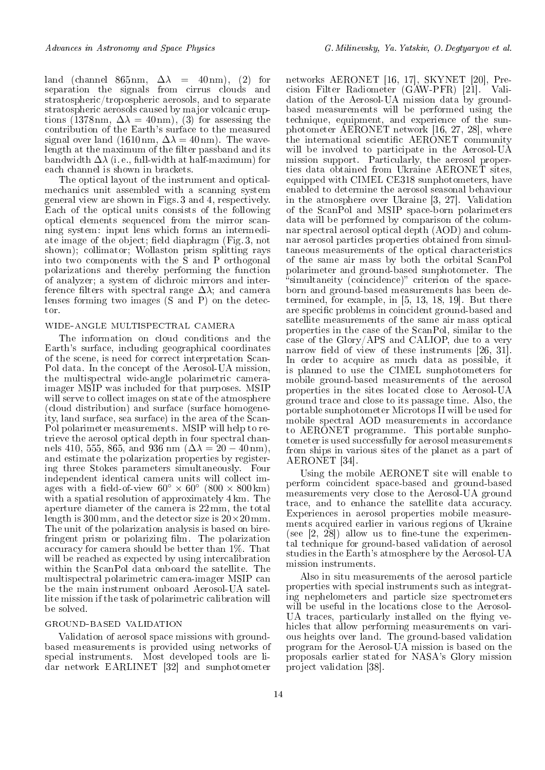land (channel  $865 \text{ nm}$ ,  $\Delta\lambda = 40 \text{ nm}$ ), (2) for separation the signals from cirrus clouds and stratospheric/tropospheric aerosols, and to separate stratospheric aerosols caused by major volcanic eruptions (1378 nm,  $\Delta\lambda = 40 \text{ nm}$ ), (3) for assessing the contribution of the Earth's surface to the measured signal over land (1610 nm,  $\Delta\lambda = 40$  nm). The wavelength at the maximum of the filter passband and its bandwidth  $\Delta\lambda$  (i.e., full-width at half-maximum) for each channel is shown in brackets.

The optical layout of the instrument and opticalmechanics unit assembled with a scanning system general view are shown in Figs. 3 and 4, respectively. Each of the optical units consists of the following optical elements sequenced from the mirror scanning system: input lens which forms an intermediate image of the object; field diaphragm (Fig. 3, not shown); collimator; Wollaston prism splitting rays into two components with the S and P orthogonal polarizations and thereby performing the function of analyzer; a system of dichroic mirrors and interference filters with spectral range  $\Delta\lambda$ ; and camera lenses forming two images (S and P) on the detector.

#### wide-angle multispectral camera

The information on cloud conditions and the Earth's surface, including geographical coordinates of the scene, is need for correct interpretation Scan-Pol data. In the concept of the Aerosol-UA mission, the multispectral wide-angle polarimetric cameraimager MSIP was included for that purposes. MSIP will serve to collect images on state of the atmosphere (cloud distribution) and surface (surface homogeneity, land surface, sea surface) in the area of the Scan-Pol polarimeter measurements. MSIP will help to retrieve the aerosol optical depth in four spectral channels 410, 555, 865, and 936 nm ( $\Delta\lambda = 20 - 40$  nm), and estimate the polarization properties by registering three Stokes parameters simultaneously. Four independent identical camera units will collect images with a field-of-view  $60^{\circ} \times 60^{\circ}$  ( $800 \times 800$  km) with a spatial resolution of approximately 4 km. The aperture diameter of the camera is 22 mm, the total length is 300 mm, and the detector size is 20*×*20 mm. The unit of the polarization analysis is based on birefringent prism or polarizing film. The polarization accuracy for camera should be better than 1%. That will be reached as expected by using intercalibration within the ScanPol data onboard the satellite. The multispectral polarimetric camera-imager MSIP can be the main instrument onboard Aerosol-UA satellite mission if the task of polarimetric calibration will be solved.

# ground-based validation

Validation of aerosol space missions with groundbased measurements is provided using networks of special instruments. Most developed tools are lidar network EARLINET [32] and sunphotometer

networks AERONET [16, 17], SKYNET [20], Precision Filter Radiometer (GAW-PFR) [21]. Validation of the Aerosol-UA mission data by groundbased measurements will be performed using the technique, equipment, and experience of the sunphotometer AERONET network [16, 27, 28], where the international scientific AERONET community will be involved to participate in the Aerosol-UA mission support. Particularly, the aerosol properties data obtained from Ukraine AERONET sites, equipped with CIMEL CE318 sunphotometers, have enabled to determine the aerosol seasonal behaviour in the atmosphere over Ukraine [3, 27]. Validation of the ScanPol and MSIP space-born polarimeters data will be performed by comparison of the columnar spectral aerosol optical depth (AOD) and columnar aerosol particles properties obtained from simultaneous measurements of the optical characteristics of the same air mass by both the orbital ScanPol polarimeter and ground-based sunphotometer. The "simultaneity (coincidence)" criterion of the spaceborn and ground-based measurements has been determined, for example, in [5, 13, 18, 19]. But there are specific problems in coincident ground-based and satellite measurements of the same air mass optical properties in the case of the ScanPol, similar to the case of the Glory/APS and CALIOP, due to a very narrow field of view of these instruments  $[26, 31]$ . In order to acquire as much data as possible, it is planned to use the CIMEL sunphotometers for mobile ground-based measurements of the aerosol properties in the sites located close to Aerosol-UA ground trace and close to its passage time. Also, the portable sunphotometer Microtops II will be used for mobile spectral AOD measurements in accordance to AERONET programme. This portable sunphotometer is used successfully for aerosol measurements from ships in various sites of the planet as a part of AERONET [34].

Using the mobile AERONET site will enable to perform coincident space-based and ground-based measurements very close to the Aerosol-UA ground trace, and to enhance the satellite data accuracy. Experiences in aerosol properties mobile measurements acquired earlier in various regions of Ukraine (see  $[2, 28]$ ) allow us to fine-tune the experimental technique for ground-based validation of aerosol studies in the Earth's atmosphere by the Aerosol-UA mission instruments.

Also in situ measurements of the aerosol particle properties with special instruments such as integrating nephelometers and particle size spectrometers will be useful in the locations close to the Aerosol-UA traces, particularly installed on the flying vehicles that allow performing measurements on various heights over land. The ground-based validation program for the Aerosol-UA mission is based on the proposals earlier stated for NASA's Glory mission project validation [38].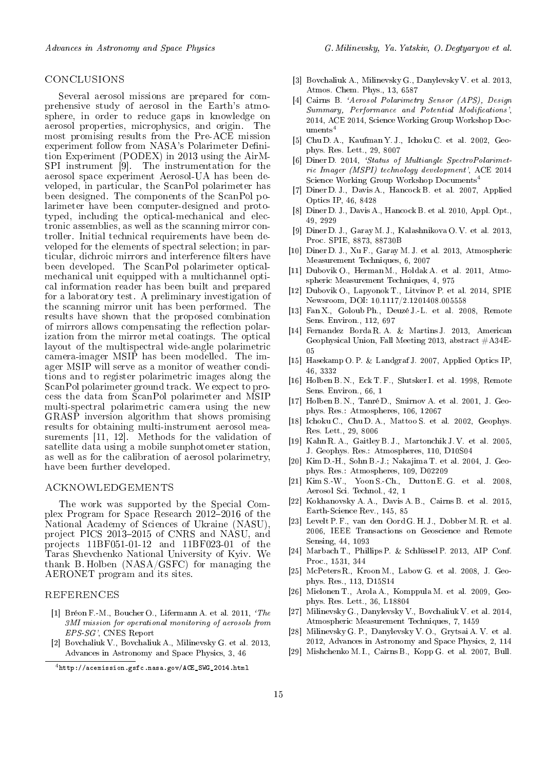# conclusions

Several aerosol missions are prepared for comprehensive study of aerosol in the Earth's atmosphere, in order to reduce gaps in knowledge on aerosol properties, microphysics, and origin. The aerosol properties, microphysics, and origin. most promising results from the Pre-ACE mission experiment follow from NASA's Polarimeter Definition Experiment (PODEX) in 2013 using the AirM-SPI instrument [9]. The instrumentation for the aerosol space experiment Aerosol-UA has been developed, in particular, the ScanPol polarimeter has been designed. The components of the ScanPol polarimeter have been computer-designed and prototyped, including the optical-mechanical and electronic assemblies, as well as the scanning mirror controller. Initial technical requirements have been developed for the elements of spectral selection; in particular, dichroic mirrors and interference filters have been developed. The ScanPol polarimeter opticalmechanical unit equipped with a multichannel optical information reader has been built and prepared for a laboratory test. A preliminary investigation of the scanning mirror unit has been performed. The results have shown that the proposed combination of mirrors allows compensating the reflection polarization from the mirror metal coatings. The optical layout of the multispectral wide-angle polarimetric camera-imager MSIP has been modelled. The imager MSIP will serve as a monitor of weather conditions and to register polarimetric images along the ScanPol polarimeter ground track. We expect to process the data from ScanPol polarimeter and MSIP multi-spectral polarimetric camera using the new GRASP inversion algorithm that shows promising results for obtaining multi-instrument aerosol measurements [11, 12]. Methods for the validation of satellite data using a mobile sunphotometer station, as well as for the calibration of aerosol polarimetry, have been further developed.

# acknowledgements

The work was supported by the Special Complex Program for Space Research 2012–2016 of the National Academy of Sciences of Ukraine (NASU), project PICS 2013-2015 of CNRS and NASU, and projects 11BF051-01-12 and 11BF023-01 of the Taras Shevchenko National University of Kyiv. We thank B. Holben (NASA/GSFC) for managing the AERONET program and its sites.

#### **REFERENCES**

- [1] Bréon F.-M., Boucher O., Lifermann A. et al. 2011, 'The 3MI mission for operational monitoring of aerosols from EPS-SG', CNES Report
- [2] Bovchaliuk V., Bovchaliuk A., Milinevsky G. et al. 2013, Advances in Astronomy and Space Physics, 3, 46
- [3] Bovchaliuk A., Milinevsky G., Danylevsky V. et al. 2013, Atmos. Chem. Phys., 13, 6587
- [4] Cairns B. `Aerosol Polarimetry Sensor (APS), Design Summary, Performance and Potential Modifications', 2014, ACE 2014, Science Working Group Workshop Documents<sup>4</sup>
- [5] Chu D. A., Kaufman Y. J., Ichoku C. et al. 2002, Geophys. Res. Lett., 29, 8007
- [6] Diner D. 2014, 'Status of Multiangle SpectroPolarimetric Imager (MSPI) technology development', ACE 2014 Science Working Group Workshop Documents<sup>4</sup>
- [7] Diner D. J., Davis A., Hancock B. et al. 2007, Applied Optics IP, 46, 8428
- [8] Diner D. J., Davis A., Hancock B. et al. 2010, Appl. Opt., 49, 2929
- [9] Diner D. J., Garay M. J., Kalashnikova O. V. et al. 2013, Proc. SPIE, 8873, 88730B
- [10] Diner D. J., Xu F., Garay M. J. et al. 2013, Atmospheric Measurement Techniques, 6, 2007
- [11] Dubovik O., Herman M., Holdak A. et al. 2011, Atmospheric Measurement Techniques, 4, 975
- [12] Dubovik O., Lapyonok T., Litvinov P. et al. 2014, SPIE Newsroom, DOI: 10.1117/2.1201408.005558
- [13] Fan X., Goloub Ph., Deuzé J.-L. et al. 2008, Remote Sens. Environ., 112, 697
- [14] Fernandez Borda R. A. & Martins J. 2013, American Geophysical Union, Fall Meeting 2013, abstract  $\#A34E-$ 05
- [15] Hasekamp O. P. & Landgraf J. 2007, Applied Optics IP, 46, 3332
- [16] Holben B. N., Eck T. F., Slutsker I. et al. 1998, Remote Sens. Environ., 66, 1
- [17] Holben B. N., Tanré D., Smirnov A. et al. 2001, J. Geophys. Res.: Atmospheres, 106, 12067
- [18] Ichoku C., Chu D. A., Mattoo S. et al. 2002, Geophys. Res. Lett., 29, 8006
- [19] Kahn R. A., Gaitley B. J., Martonchik J. V. et al. 2005, J. Geophys. Res.: Atmospheres, 110, D10S04
- [20] Kim D.-H., Sohn B.-J.; Nakajima T. et al. 2004, J. Geophys. Res.: Atmospheres, 109, D02209
- [21] Kim S.-W., Yoon S.-Ch., Dutton E. G. et al. 2008, Aerosol Sci. Technol., 42, 1
- [22] Kokhanovsky A. A., Davis A. B., Cairns B. et al. 2015, Earth-Science Rev., 145, 85
- [23] Levelt P. F., van den Oord G. H. J., Dobber M. R. et al. 2006, IEEE Transactions on Geoscience and Remote Sensing, 44, 1093
- [24] Marbach T., Phillips P. & Schlüssel P. 2013, AIP Conf. Proc., 1531, 344
- [25] McPeters R., Kroon M., Labow G. et al. 2008, J. Geophys. Res., 113, D15S14
- [26] Mielonen T., Arola A., Komppula M. et al. 2009, Geophys. Res. Lett., 36, L18804
- [27] Milinevsky G., Danylevsky V., Bovchaliuk V. et al. 2014, Atmospheric Measurement Techniques, 7, 1459
- [28] Milinevsky G. P., Danylevsky V. O., Grytsai A. V. et al. 2012, Advances in Astronomy and Space Physics, 2, 114
- [29] Mishchenko M. I., Cairns B., Kopp G. et al. 2007, Bull.

<sup>4</sup>http://acemission.gsfc.nasa.gov/ACE\_SWG\_2014.html